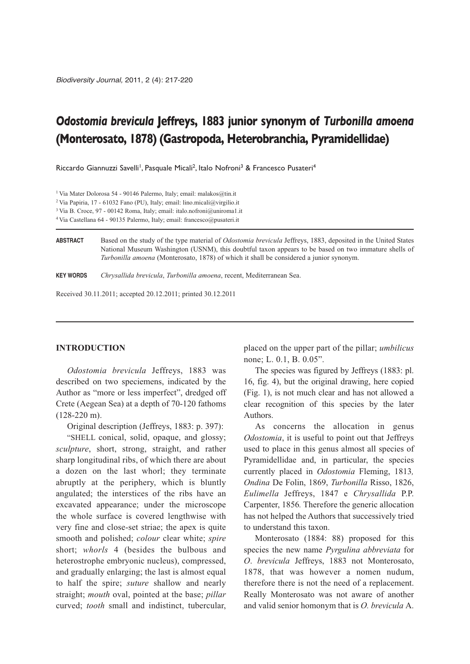# *Odostomia brevicula* **Jeffreys, 1883 junior synonym of** *Turbonilla amoena* **(Monterosato, 1878) (Gastropoda, Heterobranchia, Pyramidellidae)**

Riccardo Giannuzzi Savelli<sup>1</sup>, Pasquale Micali<sup>2</sup>, Italo Nofroni<sup>3</sup> & Francesco Pusateri<sup>4</sup>

3 Via B. Croce, 97 - 00142 Roma, Italy; email: italo.nofroni@uniroma1.it

4 Via Castellana 64 - 90135 Palermo, Italy; email: francesco@pusateri.it

**ABSTRACT** Based on the study of the type material of *Odostomia brevicula* Jeffreys, 1883, deposited in the United States National Museum Washington (USNM), this doubtful taxon appears to be based on two immature shells of *Turbonilla amoena* (Monterosato, 1878) of which it shall be considered a junior synonym.

**KEY WORDS** *Chrysallida brevicula*, *Turbonilla amoena*, recent, Mediterranean Sea.

Received 30.11.2011; accepted 20.12.2011; printed 30.12.2011

## **INTRODUCTION**

*Odostomia brevicula* Jeffreys, 1883 was described on two speciemens, indicated by the Author as "more or less imperfect", dredged off Crete (Aegean Sea) at a depth of 70-120 fathoms (128-220 m).

Original description (Jeffreys, 1883: p. 397):

"SHELL conical, solid, opaque, and glossy; *sculpture*, short, strong, straight, and rather sharp longitudinal ribs, of which there are about a dozen on the last whorl; they terminate abruptly at the periphery, which is bluntly angulated; the interstices of the ribs have an excavated appearance; under the microscope the whole surface is covered lengthwise with very fine and close-set striae; the apex is quite smooth and polished; *colour* clear white; *spire* short; *whorls* 4 (besides the bulbous and heterostrophe embryonic nucleus), compressed, and gradually enlarging; the last is almost equal to half the spire; *suture* shallow and nearly straight; *mouth* oval, pointed at the base; *pillar* curved; *tooth* small and indistinct, tubercular,

placed on the upper part of the pillar; *umbilicus* none; L. 0.1, B. 0.05".

The species was figured by Jeffreys (1883: pl. 16, fig. 4), but the original drawing, here copied (Fig. 1), is not much clear and has not allowed a clear recognition of this species by the later Authors.

As concerns the allocation in genus *Odostomia*, it is useful to point out that Jeffreys used to place in this genus almost all species of Pyramidellidae and, in particular, the species currently placed in *Odostomia* Fleming, 1813*, Ondina* De Folin, 1869, *Turbonilla* Risso, 1826, *Eulimella* Jeffreys, 1847 e *Chrysallida* P.P. Carpenter, 1856*.* Therefore the generic allocation has not helped the Authors that successively tried to understand this taxon.

Monterosato (1884: 88) proposed for this species the new name *Pyrgulina abbreviata* for *O*. *brevicula* Jeffreys, 1883 not Monterosato, 1878, that was however a nomen nudum, therefore there is not the need of a replacement. Really Monterosato was not aware of another and valid senior homonym that is *O. brevicula* A.

<sup>1</sup> Via Mater Dolorosa 54 - 90146 Palermo, Italy; email: malakos@tin.it

<sup>2</sup> Via Papiria, 17 - 61032 Fano (PU), Italy; email: lino.micali@virgilio.it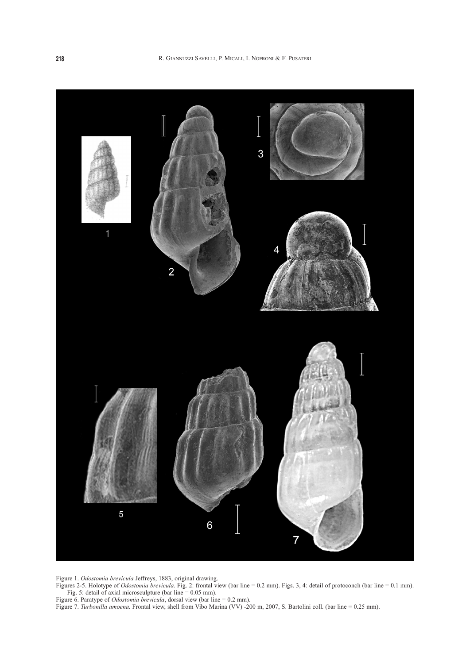

Figure 1. *Odostomia brevicula* Jeffreys, 1883, original drawing.

Figures 2-5. Holotype of *Odostomia brevicula*. Fig. 2: frontal view (bar line = 0.2 mm). Figs. 3, 4: detail of protoconch (bar line = 0.1 mm). Fig. 5: detail of axial microsculpture (bar line = 0.05 mm).

Figure 6. Paratype of *Odostomia brevicula*, dorsal view (bar line = 0.2 mm).

Figure 7. *Turbonilla amoena*. Frontal view, shell from Vibo Marina (VV) -200 m, 2007, S. Bartolini coll. (bar line = 0.25 mm).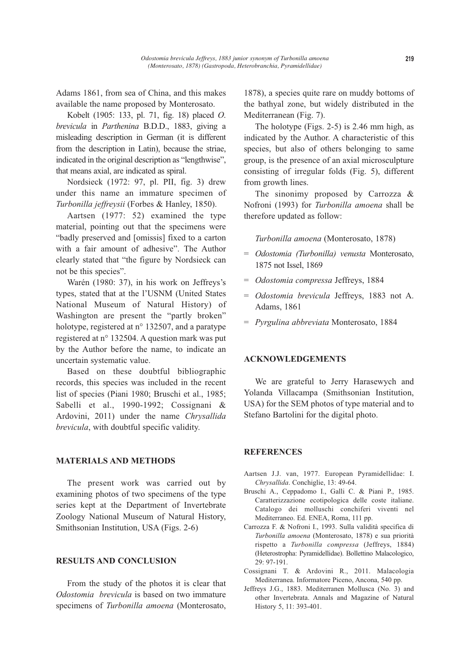Adams 1861, from sea of China, and this makes available the name proposed by Monterosato.

Kobelt (1905: 133, pl. 71, fig. 18) placed *O*. *brevicula* in *Parthenina* B.D.D., 1883, giving a misleading description in German (it is different from the description in Latin), because the striae, indicated in the original description as "lengthwise", that means axial, are indicated as spiral.

Nordsieck (1972: 97, pl. PII, fig. 3) drew under this name an immature specimen of *Turbonilla jeffreysii* (Forbes & Hanley, 1850).

Aartsen (1977: 52) examined the type material, pointing out that the specimens were "badly preserved and [omissis] fixed to a carton with a fair amount of adhesive". The Author clearly stated that "the figure by Nordsieck can not be this species".

Warén (1980: 37), in his work on Jeffreys's types, stated that at the l'USNM (United States National Museum of Natural History) of Washington are present the "partly broken" holotype, registered at n° 132507, and a paratype registered at n° 132504. A question mark was put by the Author before the name, to indicate an uncertain systematic value.

Based on these doubtful bibliographic records, this species was included in the recent list of species (Piani 1980; Bruschi et al., 1985; Sabelli et al., 1990-1992; Cossignani & Ardovini, 2011) under the name *Chrysallida brevicula*, with doubtful specific validity.

# **MATERIALS AND METHODS**

The present work was carried out by examining photos of two specimens of the type series kept at the Department of Invertebrate Zoology National Museum of Natural History, Smithsonian Institution, USA (Figs. 2-6)

#### **RESULTS AND CONCLUSION**

From the study of the photos it is clear that *Odostomia brevicula* is based on two immature specimens of *Turbonilla amoena* (Monterosato,

1878), a species quite rare on muddy bottoms of the bathyal zone, but widely distributed in the Mediterranean (Fig. 7).

The holotype (Figs. 2-5) is 2.46 mm high, as indicated by the Author. A characteristic of this species, but also of others belonging to same group, is the presence of an axial microsculpture consisting of irregular folds (Fig. 5), different from growth lines.

The sinonimy proposed by Carrozza & Nofroni (1993) for *Turbonilla amoena* shall be therefore updated as follow:

*Turbonilla amoena* (Monterosato, 1878)

- = *Odostomia (Turbonilla) venusta* Monterosato, 1875 not Issel, 1869
- = *Odostomia compressa* Jeffreys, 1884
- *= Odostomia brevicula* Jeffreys, 1883 not A. Adams, 1861
- = *Pyrgulina abbreviata* Monterosato, 1884

# **ACKNOWLEDGEMENTS**

We are grateful to Jerry Harasewych and Yolanda Villacampa (Smithsonian Institution, USA) for the SEM photos of type material and to Stefano Bartolini for the digital photo.

## **REFERENCES**

- Aartsen J.J. van, 1977. European Pyramidellidae: I. *Chrysallida*. Conchiglie, 13: 49-64.
- Bruschi A., Ceppadomo I., Galli C. & Piani P., 1985. Caratterizzazione ecotipologica delle coste italiane. Catalogo dei molluschi conchiferi viventi nel Mediterraneo. Ed. ENEA, Roma, 111 pp.
- Carrozza F. & Nofroni I., 1993. Sulla validità specifica di *Turbonilla amoena* (Monterosato, 1878) e sua priorità rispetto a *Turbonilla compressa* (Jeffreys, 1884) (Heterostropha: Pyramidellidae). Bollettino Malacologico, 29: 97-191.
- Cossignani T. & Ardovini R., 2011. Malacologia Mediterranea. Informatore Piceno, Ancona, 540 pp.
- Jeffreys J.G., 1883. Mediterranen Mollusca (No. 3) and other Invertebrata. Annals and Magazine of Natural History 5, 11: 393-401.